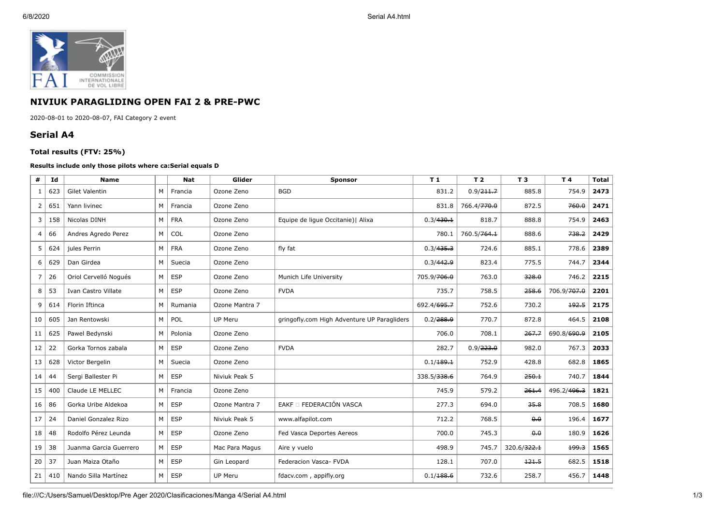

## **NIVIUK PARAGLIDING OPEN FAI 2 & PRE-PWC**

2020-08-01 to 2020-08-07, FAI Category 2 event

## **Serial A4**

## **Total results (FTV: 25%)**

## **Results include only those pilots where ca:Serial equals D**

| #              | Id  | <b>Name</b>            |   | <b>Nat</b> | Glider         | <b>Sponsor</b>                              | T <sub>1</sub> | T <sub>2</sub> | T 3                     | T 4         | <b>Total</b> |
|----------------|-----|------------------------|---|------------|----------------|---------------------------------------------|----------------|----------------|-------------------------|-------------|--------------|
| 1              | 623 | <b>Gilet Valentin</b>  | M | Francia    | Ozone Zeno     | <b>BGD</b>                                  | 831.2          | 0.9/211.7      | 885.8                   | 754.9       | 2473         |
| $\mathbf{2}$   | 651 | Yann livinec           | M | Francia    | Ozone Zeno     |                                             | 831.8          | 766.4/770.0    | 872.5                   | 760.0       | 2471         |
| 3              | 158 | Nicolas DINH           | M | <b>FRA</b> | Ozone Zeno     | Equipe de lique Occitanie)   Alixa          | 0.3/430.1      | 818.7          | 888.8                   | 754.9       | 2463         |
| 4              | 66  | Andres Agredo Perez    | M | COL        | Ozone Zeno     |                                             | 780.1          | 760.5/764.1    | 888.6                   | 738.2       | 2429         |
| 5              | 624 | jules Perrin           | M | <b>FRA</b> | Ozone Zeno     | fly fat                                     | 0.3/435.3      | 724.6          | 885.1                   | 778.6       | 2389         |
| 6              | 629 | Dan Girdea             | M | Suecia     | Ozone Zeno     |                                             | 0.3/442.9      | 823.4          | 775.5                   | 744.7       | 2344         |
| $\overline{7}$ | 26  | Oriol Cervelló Nogués  | M | <b>ESP</b> | Ozone Zeno     | Munich Life University                      | 705.9/706.0    | 763.0          | 328.0                   | 746.2       | 2215         |
| 8              | 53  | Ivan Castro Villate    | M | <b>ESP</b> | Ozone Zeno     | <b>FVDA</b>                                 | 735.7          | 758.5          | 258.6                   | 706.9/707.0 | 2201         |
| 9              | 614 | Florin Iftinca         | M | Rumania    | Ozone Mantra 7 |                                             | 692.4/695.7    | 752.6          | 730.2                   | 192.5       | 2175         |
| 10             | 605 | Jan Rentowski          | M | POL        | UP Meru        | gringofly.com High Adventure UP Paragliders | 0.2/288.9      | 770.7          | 872.8                   | 464.5       | 2108         |
| 11             | 625 | Pawel Bedynski         | M | Polonia    | Ozone Zeno     |                                             | 706.0          | 708.1          | 267.7                   | 690.8/690.9 | 2105         |
| 12             | 22  | Gorka Tornos zabala    | M | <b>ESP</b> | Ozone Zeno     | <b>FVDA</b>                                 | 282.7          | 0.9/223.0      | 982.0                   | 767.3       | 2033         |
| 13             | 628 | Victor Bergelin        | M | Suecia     | Ozone Zeno     |                                             | 0.1/189.1      | 752.9          | 428.8                   | 682.8       | 1865         |
| 14             | 44  | Sergi Ballester Pi     | M | <b>ESP</b> | Niviuk Peak 5  |                                             | 338.5/338.6    | 764.9          | 250.1                   | 740.7       | 1844         |
| 15             | 400 | Claude LE MELLEC       | M | Francia    | Ozone Zeno     |                                             | 745.9          | 579.2          | 261.4                   | 496.2/496.3 | 1821         |
| 16             | 86  | Gorka Uribe Aldekoa    | M | <b>ESP</b> | Ozone Mantra 7 | EAKF O FEDERACIÓN VASCA                     | 277.3          | 694.0          | 35.8                    | 708.5       | 1680         |
| 17             | 24  | Daniel Gonzalez Rizo   | M | <b>ESP</b> | Niviuk Peak 5  | www.alfapilot.com                           | 712.2          | 768.5          | 0.0                     | 196.4       | 1677         |
| 18             | 48  | Rodolfo Pérez Leunda   | M | <b>ESP</b> | Ozone Zeno     | Fed Vasca Deportes Aereos                   | 700.0          | 745.3          | $\theta$ . $\theta$     | 180.9       | 1626         |
| 19             | 38  | Juanma Garcia Guerrero | M | <b>ESP</b> | Mac Para Magus | Aire y vuelo                                | 498.9          | 745.7          | 320.6/ <del>322.1</del> | 199.3       | 1565         |
| 20             | 37  | Juan Maiza Otaño       | M | <b>ESP</b> | Gin Leopard    | Federacion Vasca- FVDA                      | 128.1          | 707.0          | 121.5                   | 682.5       | 1518         |
| 21             | 410 | Nando Silla Martínez   | M | <b>ESP</b> | UP Meru        | fdacv.com, appifly.org                      | 0.1/188.6      | 732.6          | 258.7                   | 456.7       | 1448         |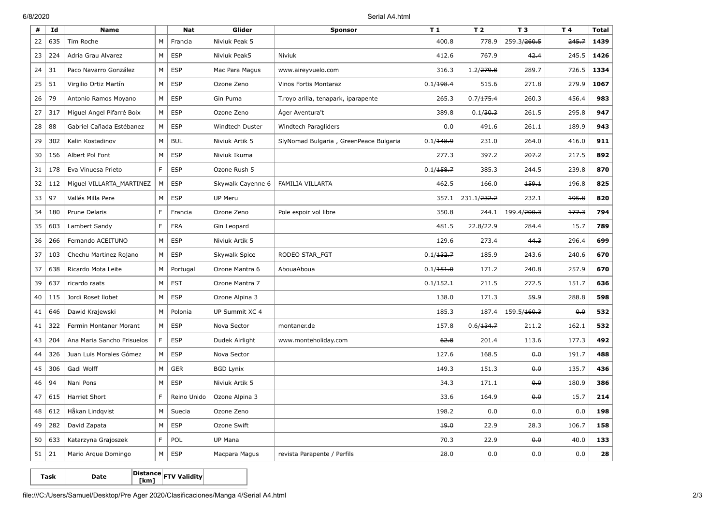6/8/2020 Serial A4.html

| #  | Id  | <b>Name</b>                |    | <b>Nat</b>  | Glider            | <b>Sponsor</b>                         | T <sub>1</sub> | T <sub>2</sub>          | T <sub>3</sub>          | T 4   | <b>Total</b> |
|----|-----|----------------------------|----|-------------|-------------------|----------------------------------------|----------------|-------------------------|-------------------------|-------|--------------|
| 22 | 635 | Tim Roche                  | M  | Francia     | Niviuk Peak 5     |                                        | 400.8          | 778.9                   | 259.3/260.5             | 245.7 | 1439         |
| 23 | 224 | Adria Grau Alvarez         | M  | <b>ESP</b>  | Niviuk Peak5      | <b>Niviuk</b>                          | 412.6          | 767.9                   | 42.4                    | 245.5 | 1426         |
| 24 | 31  | Paco Navarro González      | М  | <b>ESP</b>  | Mac Para Magus    | www.aireyvuelo.com                     | 316.3          | 1.2/279.8               | 289.7                   | 726.5 | 1334         |
| 25 | 51  | Virgilio Ortiz Martín      | М  | <b>ESP</b>  | Ozone Zeno        | Vinos Fortis Montaraz                  | 0.1/198.4      | 515.6                   | 271.8                   | 279.9 | 1067         |
| 26 | 79  | Antonio Ramos Moyano       | М  | <b>ESP</b>  | Gin Puma          | T. royo arilla, tenapark, iparapente   | 265.3          | 0.7/175.4               | 260.3                   | 456.4 | 983          |
| 27 | 317 | Miguel Angel Pifarré Boix  | M  | <b>ESP</b>  | Ozone Zeno        | Ager Aventura't                        | 389.8          | 0.1/30.3                | 261.5                   | 295.8 | 947          |
| 28 | 88  | Gabriel Cañada Estébanez   | M  | <b>ESP</b>  | Windtech Duster   | Windtech Paragliders                   | 0.0            | 491.6                   | 261.1                   | 189.9 | 943          |
| 29 | 302 | Kalin Kostadinov           | М  | <b>BUL</b>  | Niviuk Artik 5    | SlyNomad Bulgaria, GreenPeace Bulgaria | 0.1/148.9      | 231.0                   | 264.0                   | 416.0 | 911          |
| 30 | 156 | Albert Pol Font            | М  | <b>ESP</b>  | Niviuk Ikuma      |                                        | 277.3          | 397.2                   | 207.2                   | 217.5 | 892          |
| 31 | 178 | Eva Vinuesa Prieto         | F  | <b>ESP</b>  | Ozone Rush 5      |                                        | 0.1/158.7      | 385.3                   | 244.5                   | 239.8 | 870          |
| 32 | 112 | Miguel VILLARTA_MARTINEZ   | M  | <b>ESP</b>  | Skywalk Cayenne 6 | FAMILIA VILLARTA                       | 462.5          | 166.0                   | 159.1                   | 196.8 | 825          |
| 33 | 97  | Vallés Milla Pere          | M  | <b>ESP</b>  | <b>UP Meru</b>    |                                        | 357.1          | 231.1/ <del>232.2</del> | 232.1                   | 195.8 | 820          |
| 34 | 180 | Prune Delaris              | F  | Francia     | Ozone Zeno        | Pole espoir vol libre                  | 350.8          | 244.1                   | 199.4/ <del>200.3</del> | 177.3 | 794          |
| 35 | 603 | Lambert Sandy              | F  | <b>FRA</b>  | Gin Leopard       |                                        | 481.5          | 22.8/22.9               | 284.4                   | 15.7  | 789          |
| 36 | 266 | Fernando ACEITUNO          | М  | <b>ESP</b>  | Niviuk Artik 5    |                                        | 129.6          | 273.4                   | 44.3                    | 296.4 | 699          |
| 37 | 103 | Chechu Martinez Rojano     | M  | <b>ESP</b>  | Skywalk Spice     | RODEO STAR FGT                         | 0.1/132.7      | 185.9                   | 243.6                   | 240.6 | 670          |
| 37 | 638 | Ricardo Mota Leite         | М  | Portugal    | Ozone Mantra 6    | AbouaAboua                             | 0.1/151.0      | 171.2                   | 240.8                   | 257.9 | 670          |
| 39 | 637 | ricardo raats              | M  | <b>EST</b>  | Ozone Mantra 7    |                                        | 0.1/152.1      | 211.5                   | 272.5                   | 151.7 | 636          |
| 40 | 115 | Jordi Roset Ilobet         | М  | <b>ESP</b>  | Ozone Alpina 3    |                                        | 138.0          | 171.3                   | 59.9                    | 288.8 | 598          |
| 41 | 646 | Dawid Krajewski            | М  | Polonia     | UP Summit XC 4    |                                        | 185.3          | 187.4                   | 159.5/ <del>160.3</del> | 0.0   | 532          |
| 41 | 322 | Fermin Montaner Morant     | M  | <b>ESP</b>  | Nova Sector       | montaner.de                            | 157.8          | 0.6/134.7               | 211.2                   | 162.1 | 532          |
| 43 | 204 | Ana Maria Sancho Frisuelos | F. | <b>ESP</b>  | Dudek Airlight    | www.monteholiday.com                   | 62.8           | 201.4                   | 113.6                   | 177.3 | 492          |
| 44 | 326 | Juan Luis Morales Gómez    | M  | <b>ESP</b>  | Nova Sector       |                                        | 127.6          | 168.5                   | 0.0                     | 191.7 | 488          |
| 45 | 306 | Gadi Wolff                 | М  | <b>GER</b>  | <b>BGD Lynix</b>  |                                        | 149.3          | 151.3                   | 0.0                     | 135.7 | 436          |
| 46 | 94  | Nani Pons                  | М  | <b>ESP</b>  | Niviuk Artik 5    |                                        | 34.3           | 171.1                   | 0.0                     | 180.9 | 386          |
| 47 | 615 | Harriet Short              | F  | Reino Unido | Ozone Alpina 3    |                                        | 33.6           | 164.9                   | 0.0                     | 15.7  | 214          |
| 48 | 612 | Håkan Lindqvist            | М  | Suecia      | Ozone Zeno        |                                        | 198.2          | 0.0                     | 0.0                     | 0.0   | 198          |
| 49 | 282 | David Zapata               | M  | <b>ESP</b>  | Ozone Swift       |                                        | 19.0           | 22.9                    | 28.3                    | 106.7 | 158          |
| 50 | 633 | Katarzyna Grajoszek        | F  | <b>POL</b>  | UP Mana           |                                        | 70.3           | 22.9                    | $\theta$ <sub>0</sub>   | 40.0  | 133          |
| 51 | 21  | Mario Arque Domingo        | М  | <b>ESP</b>  | Macpara Magus     | revista Parapente / Perfils            | 28.0           | 0.0                     | 0.0                     | 0.0   | 28           |

**Task Date Distance [km] FTV Validity**